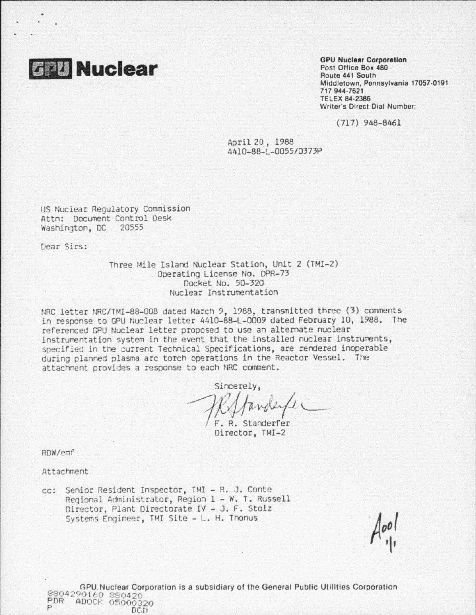

Post Office Box 480 Route 441 South Middletown, Pennsylvania 17057-0191 717 944-762t TELEX 84 ·2386 Writer's Direct Dial Number:

(717) 948-8461

April 20 , 1988 44l0-88-L-0055/0373P

us Nuclear Regulatory Commission Attn: Document Control Desk washington, DC 20555

Dear Sirs:

Three Mile Island Nuclear Station, Unit 2 (TMI-2) Operating License No. DPR-73 Docket No. 50-320 Nuclear Instrumentation

NRC letter NRC/TMI-88-008 dated March 9, 1988, transmitted three (3) comments *in* response to GPU Nuclear letter 11410-88-L-0009 dated February 10, 1988. The referenced GPU Nuclear letter proposed to use an alternate nuclear instrumentation system in the event that the installed nuclear instruments, specified in the current Technical Specifications, are rendered inoperable during plannec plasma arc torch operations in the Reactor Vessel. The attachment provides a response to each NRC comment.

Sincerely,  $\mathcal{H}$  fander /

Director, TMI-2

ROW/emf

Attachment

cc: Senior Resident Inspector, TMI - R. J. Conte Regional Administrator, Region 1- W. T. Russell Director, Plant Directorate IV - J. F. Stolz Systems Engineer, TMI Site - L. H. Thonus

GPU. Nuclear Corporation is a subsidiary of the General Public Utilities Corporation PDR ADOCK 05000320<br>P DCD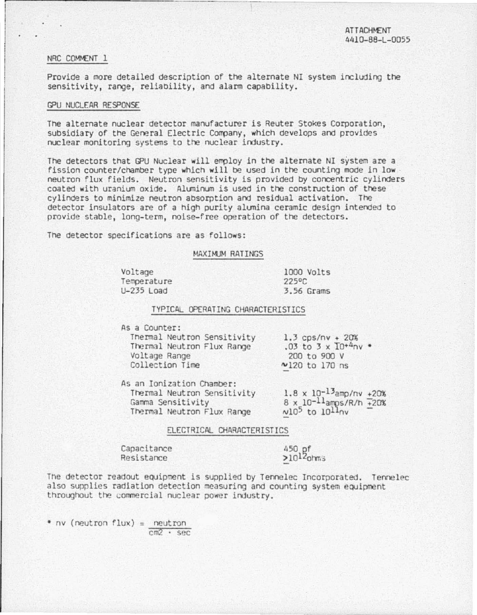## NRC COMMENT 1

 $\bullet$ 

Provide a more detailed description of the alternate NI system including the sensitivity, range, reliability, and alarm capability.

## GPU NUCLEAR RESPONSE

The alternate nuclear detector manufacturer is Reuter Stokes Corporation, subsidiary of the General Electric Company, which develops and provides nuclear monitoring systems to the nuclear industry.

The detectors that GPU Nuclear will employ in the alternate NI system are a fission counter/chamber type which will be used in the counting mode *in* low· neutron flux fields. Neutron sensitivity is provided by concentric cylinders coated with uranium oxide. Aluminum is used in the construction of these cylinders to minimize neutron absorption and residual activation. The detector insulators are of a high purity alumina ceramic design intended to provide stable, long-term, noise-free operation of the detectors.

The detector specifications are as follows:

# MAXIMJM\_RATINGS

Voltage Temperature U-235 Load

1000 Volts 225°C 3.56 Grams

### TYPICAL OPERATING CHARACTERISTICS

As a Counter:

Tnermal Neutron Sensitivity 1.3 cps/nv • 20% Thermal Neutron Flux Range Voltage Range Collection Time

 $.03$  to  $3 \times 10^{+4}$ nv \* 200 to 900 v Nl20 to 170 ns

As an Ionization Chamber: Thermal Neutron Sensitivity Gamma Sensitivity Thermal Neutron Flux Range  $1.8 \times 10^{-13}$ amp/ny  $+20\%$  $8 \times 10^{-11}$ amps/R/h  $\frac{1}{20\%}$  $N10^5$  to  $10^{11}$ nv

### ELECTRICAL CHARACTERISTICS

Capacitance Resistance

450 pf  $>10^{12}$ ohms

The detector readout equipment is supplied by Tennelec Incorporated. Tennelec also supplies radiation detection measuring and counting system equipment throughout the commercial nuclear power industry.

• nv (neutron flux) = neutron cm2 · sec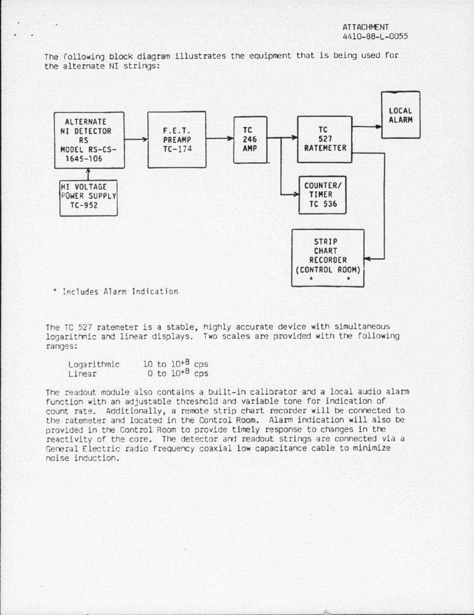The following block diagram illustrates the equipment that ls belng used for the alternate NI strings:



• !nc1udes Alarm Jnd1cat1on

The TC 527 ratemeter is a stable, highly accurate device with simultaneous logarit hnic and linear displays. Two scales are provided with the following ranges:

| Logarithmic |  | 10 to $10^{+8}$ cps |  |
|-------------|--|---------------------|--|
| Linear      |  | 0 to $10^{+8}$ cps  |  |

The readout module also contains a built-in calibrator and a local audio alarm function with an adjustable threshold and variable tone for indication of count rate. Additionally, a remote strip chart recorder will be connected to the ratemeter and located in the Control Room. Alarm indication will also be rrovided in the Control Room to provide timely response to changes in the reactivity of the core. The detector and readout strings are connected via a General Electric radio frequency coaxial low capacitance cable to minimize noise induction.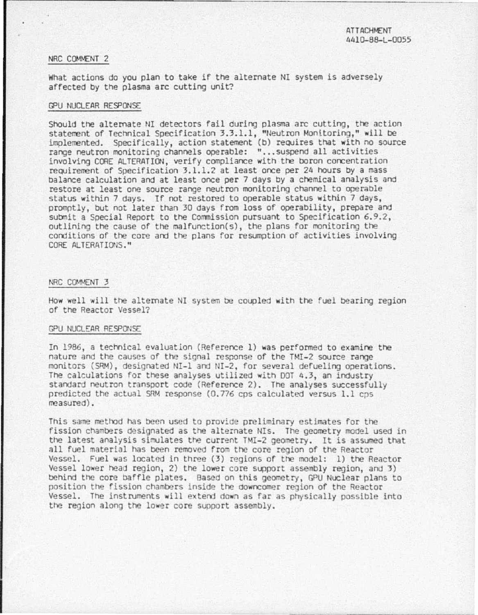# NRC COMMENT 2

What actions do you plan to take if the alternate NI system is adversely affected by the plasma arc cutting unit?

### G'U NUCLEAR RESPONSE

Should the alternate NI detectors fail during plasma arc cutting, the action statement of Technical Specification 3.3.1.1, "Neutron Monitoring," will be implemented. Specifically, action statement (b) requires that with no source range neutron monitoring channels operable: "...suspend all activities involving CORE ALTERATION, verify compliance with the boron concentration reouirement of Specification 3.1.1.2 at least once per 24 hours by a mass balance calculation and at least once per 7 days by a chemical analysis and restore at least one source range neutron monitoring channel to operaole status within 7 days. If not restored to operable status within 7 days, promptly, but not later than 30 days from loss of operability, prepare and submit a Special Report to the Commission pursuant to Specification 6.9.2, outlining the cause of the malfunction(s), the plans for monitoring the conditions of the core and the plans for resumption of activities involving CORE ALTERATIONS.''

#### NRC COMMENT 3

How well will the alternate NI system be coupled with the fuel bearing region of the Reactor Vessel?

### GPU NUCLEAR RESPONSE

In 1986, a technical evaluation (Reference l) was performed to examine the nature and the causes of the signal response of the HII-2 source range monitors (SRM), designated NI-1 and NI-2, for several defueling operations. The calculations for these analyses utilized with DOT 4,3, an industry standard neutron transport code (Reference 2). The analyses successfully predicted the actual SRM response (0.776 cps calculated versus 1.1 cps measured).

This sane method has been used to provide preliminary estimates for the fission chambers designated as the alternate NIs. The geometry model used in the latest analysis simulates the current TMI-2 geometry. It is assumed that all fuel material has been removed from the core region of the Reactor Vessel. Fuel was located in three (3) regions of the model: 1) the Reactor Vessel lower head region, 2) the lower core support assembly region, and 3) behind the core baffle plates. Based on this geometry, GPU Nuclear plans to position the fission chambers inside the downcomer region of the Reactor Vessel. The instruments will extend down as far as physically possible into the region along the lower core support assembly.